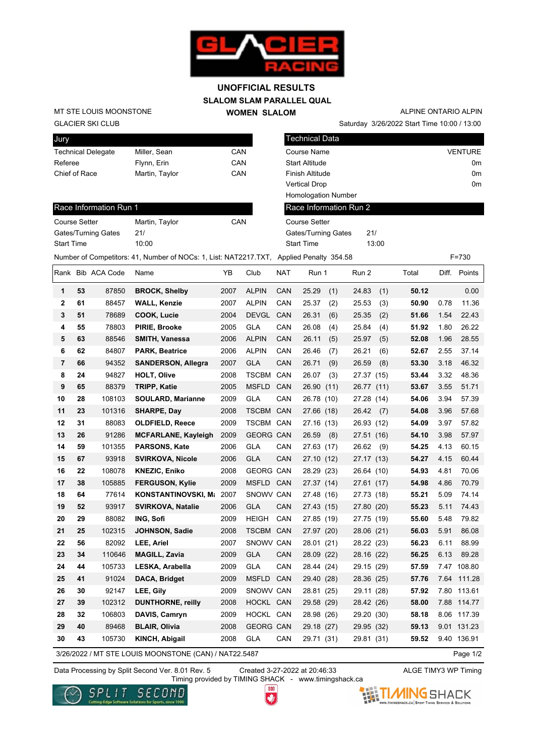

## **SLALOM SLAM PARALLEL QUAL WOMEN SLALOM UNOFFICIAL RESULTS**

GLACIER SKI CLUB MT STE LOUIS MOONSTONE

| Jury                      |                |     |
|---------------------------|----------------|-----|
| <b>Technical Delegate</b> | Miller, Sean   | CAN |
| Referee                   | Flynn, Erin    | CAN |
| Chief of Race             | Martin, Taylor | CAN |
|                           |                |     |

Saturday 3/26/2022 Start Time 10:00 / 13:00 ALPINE ONTARIO ALPIN

| Technical Data             |                |
|----------------------------|----------------|
| Course Name                | <b>VENTURE</b> |
| <b>Start Altitude</b>      | 0m             |
| Finish Altitude            | 0m             |
| <b>Vertical Drop</b>       | 0m             |
| <b>Homologation Number</b> |                |
| Race Information Run 2     |                |

## Race Information Run 1

| <b>Course Setter</b> | Martin, Taylor | CAN |
|----------------------|----------------|-----|
| Gates/Turning Gates  | 21/            |     |
| <b>Start Time</b>    | 10:00          |     |

| vertical Digp              |       |  |
|----------------------------|-------|--|
| <b>Homologation Number</b> |       |  |
| Race Information Run 2     |       |  |
| Course Setter              |       |  |
| <b>Gates/Turning Gates</b> | 21/   |  |
| <b>Start Time</b>          | 13:00 |  |

| Number of Competitors: 41, Number of NOCs: 1, List: NAT2217.TXT, Applied Penalty 354.58 |      |     |       |       |       | $F = 730$       |
|-----------------------------------------------------------------------------------------|------|-----|-------|-------|-------|-----------------|
| Rank Bib ACA Code<br>Name                                                               | Club | NAT | Run 1 | Run 2 | Total | Diff.<br>Points |

| Rank           |    | <b>DID ACA CODE</b> | <b>Natrie</b>              | T D  | <b>CIUD</b>      | <b>IVAT</b> | Run i         | Rull 2     |      | Total | UIII. | PUINS       |
|----------------|----|---------------------|----------------------------|------|------------------|-------------|---------------|------------|------|-------|-------|-------------|
| 1              | 53 | 87850               | <b>BROCK, Shelby</b>       | 2007 | <b>ALPIN</b>     | CAN         | 25.29<br>(1)  | 24.83      | (1)  | 50.12 |       | 0.00        |
| $\mathbf{2}$   | 61 | 88457               | <b>WALL, Kenzie</b>        | 2007 | <b>ALPIN</b>     | CAN         | 25.37<br>(2)  | 25.53      | (3)  | 50.90 | 0.78  | 11.36       |
| 3              | 51 | 78689               | COOK, Lucie                | 2004 | <b>DEVGL</b>     | CAN         | 26.31<br>(6)  | 25.35      | (2)  | 51.66 | 1.54  | 22.43       |
| 4              | 55 | 78803               | PIRIE, Brooke              | 2005 | <b>GLA</b>       | CAN         | 26.08<br>(4)  | 25.84      | (4)  | 51.92 | 1.80  | 26.22       |
| 5              | 63 | 88546               | SMITH, Vanessa             | 2006 | <b>ALPIN</b>     | CAN         | 26.11<br>(5)  | 25.97      | (5)  | 52.08 | 1.96  | 28.55       |
| 6              | 62 | 84807               | <b>PARK, Beatrice</b>      | 2006 | <b>ALPIN</b>     | CAN         | 26.46<br>(7)  | 26.21      | (6)  | 52.67 | 2.55  | 37.14       |
| $\overline{7}$ | 66 | 94352               | <b>SANDERSON, Allegra</b>  | 2007 | <b>GLA</b>       | CAN         | 26.71<br>(9)  | 26.59      | (8)  | 53.30 | 3.18  | 46.32       |
| 8              | 24 | 94827               | <b>HOLT, Olive</b>         | 2008 | <b>TSCBM</b>     | CAN         | 26.07<br>(3)  | 27.37      | (15) | 53.44 | 3.32  | 48.36       |
| 9              | 65 | 88379               | <b>TRIPP, Katie</b>        | 2005 | <b>MSFLD</b>     | CAN         | 26.90<br>(11) | 26.77 (11) |      | 53.67 | 3.55  | 51.71       |
| 10             | 28 | 108103              | <b>SOULARD, Marianne</b>   | 2009 | <b>GLA</b>       | CAN         | 26.78 (10)    | 27.28      | (14) | 54.06 | 3.94  | 57.39       |
| 11             | 23 | 101316              | SHARPE, Day                | 2008 | <b>TSCBM</b>     | CAN         | 27.66 (18)    | 26.42      | (7)  | 54.08 | 3.96  | 57.68       |
| 12             | 31 | 88083               | <b>OLDFIELD, Reece</b>     | 2009 | <b>TSCBM</b>     | CAN         | 27.16 (13)    | 26.93 (12) |      | 54.09 | 3.97  | 57.82       |
| 13             | 26 | 91286               | <b>MCFARLANE, Kayleigh</b> | 2009 | <b>GEORG CAN</b> |             | 26.59<br>(8)  | 27.51 (16) |      | 54.10 | 3.98  | 57.97       |
| 14             | 59 | 101355              | PARSONS, Kate              | 2006 | <b>GLA</b>       | CAN         | 27.63 (17)    | 26.62      | (9)  | 54.25 | 4.13  | 60.15       |
| 15             | 67 | 93918               | <b>SVIRKOVA, Nicole</b>    | 2006 | <b>GLA</b>       | CAN         | 27.10(12)     | 27.17 (13) |      | 54.27 | 4.15  | 60.44       |
| 16             | 22 | 108078              | <b>KNEZIC, Eniko</b>       | 2008 | <b>GEORG CAN</b> |             | 28.29 (23)    | 26.64 (10) |      | 54.93 | 4.81  | 70.06       |
| 17             | 38 | 105885              | <b>FERGUSON, Kylie</b>     | 2009 | MSFLD CAN        |             | 27.37 (14)    | 27.61 (17) |      | 54.98 | 4.86  | 70.79       |
| 18             | 64 | 77614               | KONSTANTINOVSKI, M         | 2007 | SNOWV CAN        |             | 27.48 (16)    | 27.73      | (18) | 55.21 | 5.09  | 74.14       |
| 19             | 52 | 93917               | <b>SVIRKOVA, Natalie</b>   | 2006 | <b>GLA</b>       | <b>CAN</b>  | 27.43 (15)    | 27.80 (20) |      | 55.23 | 5.11  | 74.43       |
| 20             | 29 | 88082               | ING, Sofi                  | 2009 | <b>HEIGH</b>     | CAN         | 27.85 (19)    | 27.75 (19) |      | 55.60 | 5.48  | 79.82       |
| 21             | 25 | 102315              | <b>JOHNSON, Sadie</b>      | 2008 | TSCBM CAN        |             | 27.97 (20)    | 28.06 (21) |      | 56.03 | 5.91  | 86.08       |
| 22             | 56 | 82092               | LEE, Ariel                 | 2007 | SNOWV CAN        |             | 28.01 (21)    | 28.22 (23) |      | 56.23 | 6.11  | 88.99       |
| 23             | 34 | 110646              | <b>MAGILL, Zavia</b>       | 2009 | <b>GLA</b>       | CAN         | 28.09 (22)    | 28.16 (22) |      | 56.25 | 6.13  | 89.28       |
| 24             | 44 | 105733              | LESKA, Arabella            | 2009 | <b>GLA</b>       | CAN         | 28.44 (24)    | 29.15 (29) |      | 57.59 |       | 7.47 108.80 |
| 25             | 41 | 91024               | DACA, Bridget              | 2009 | <b>MSFLD</b>     | CAN         | 29.40 (28)    | 28.36 (25) |      | 57.76 |       | 7.64 111.28 |
| 26             | 30 | 92147               | LEE, Gily                  | 2009 | SNOWV CAN        |             | 28.81 (25)    | 29.11 (28) |      | 57.92 | 7.80  | 113.61      |
| 27             | 39 | 102312              | <b>DUNTHORNE, reilly</b>   | 2008 | HOCKL CAN        |             | 29.58 (29)    | 28.42 (26) |      | 58.00 |       | 7.88 114.77 |
| 28             | 32 | 106803              | DAVIS, Camryn              | 2009 | HOCKL CAN        |             | 28.98 (26)    | 29.20      | (30) | 58.18 |       | 8.06 117.39 |
| 29             | 40 | 89468               | <b>BLAIR, Olivia</b>       | 2008 | <b>GEORG CAN</b> |             | 29.18 (27)    | 29.95 (32) |      | 59.13 |       | 9.01 131.23 |
| 30             | 43 | 105730              | <b>KINCH, Abigail</b>      | 2008 | <b>GLA</b>       | CAN         | 29.71 (31)    | 29.81 (31) |      | 59.52 |       | 9.40 136.91 |

3/26/2022 / MT STE LOUIS MOONSTONE (CAN) / NAT22.5487

Page 1/2

Data Processing by Split Second Ver. 8.01 Rev. 5 Created 3-27-2022 at 20:46:33 ALGE TIMY3 WP Timing

Timing provided by TIMING SHACK - www.timingshack.ca